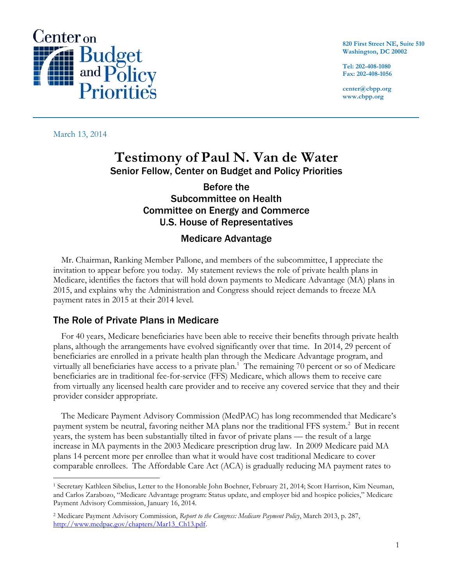

**820 First Street NE, Suite 510 Washington, DC 20002**

**Tel: 202-408-1080 Fax: 202-408-1056**

**center@cbpp.org www.cbpp.org**

March 13, 2014

# **Testimony of Paul N. Van de Water** Senior Fellow, Center on Budget and Policy Priorities

## Before the Subcommittee on Health Committee on Energy and Commerce U.S. House of Representatives

### Medicare Advantage

Mr. Chairman, Ranking Member Pallone, and members of the subcommittee, I appreciate the invitation to appear before you today. My statement reviews the role of private health plans in Medicare, identifies the factors that will hold down payments to Medicare Advantage (MA) plans in 2015, and explains why the Administration and Congress should reject demands to freeze MA payment rates in 2015 at their 2014 level.

### The Role of Private Plans in Medicare

For 40 years, Medicare beneficiaries have been able to receive their benefits through private health plans, although the arrangements have evolved significantly over that time. In 2014, 29 percent of beneficiaries are enrolled in a private health plan through the Medicare Advantage program, and virtually all beneficiaries have access to a private plan.<sup>1</sup> The remaining 70 percent or so of Medicare beneficiaries are in traditional fee-for-service (FFS) Medicare, which allows them to receive care from virtually any licensed health care provider and to receive any covered service that they and their provider consider appropriate.

The Medicare Payment Advisory Commission (MedPAC) has long recommended that Medicare's payment system be neutral, favoring neither MA plans nor the traditional FFS system.<sup>2</sup> But in recent years, the system has been substantially tilted in favor of private plans — the result of a large increase in MA payments in the 2003 Medicare prescription drug law. In 2009 Medicare paid MA plans 14 percent more per enrollee than what it would have cost traditional Medicare to cover comparable enrollees. The Affordable Care Act (ACA) is gradually reducing MA payment rates to

 $\overline{a}$ <sup>1</sup> Secretary Kathleen Sibelius, Letter to the Honorable John Boehner, February 21, 2014; Scott Harrison, Kim Neuman, and Carlos Zarabozo, "Medicare Advantage program: Status update, and employer bid and hospice policies," Medicare Payment Advisory Commission, January 16, 2014.

<sup>2</sup> Medicare Payment Advisory Commission, *Report to the Congress: Medicare Payment Policy*, March 2013, p. 287, [http://www.medpac.gov/chapters/Mar13\\_Ch13.pdf.](http://www.medpac.gov/chapters/Mar13_Ch13.pdf)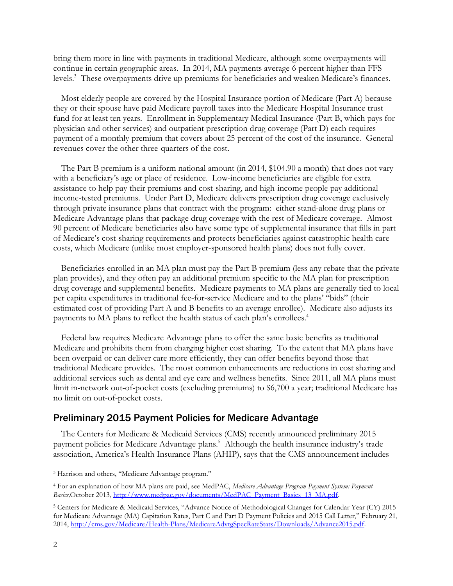bring them more in line with payments in traditional Medicare, although some overpayments will continue in certain geographic areas. In 2014, MA payments average 6 percent higher than FFS levels.<sup>3</sup> These overpayments drive up premiums for beneficiaries and weaken Medicare's finances.

Most elderly people are covered by the Hospital Insurance portion of Medicare (Part A) because they or their spouse have paid Medicare payroll taxes into the Medicare Hospital Insurance trust fund for at least ten years. Enrollment in Supplementary Medical Insurance (Part B, which pays for physician and other services) and outpatient prescription drug coverage (Part D) each requires payment of a monthly premium that covers about 25 percent of the cost of the insurance. General revenues cover the other three-quarters of the cost.

The Part B premium is a uniform national amount (in 2014, \$104.90 a month) that does not vary with a beneficiary's age or place of residence. Low-income beneficiaries are eligible for extra assistance to help pay their premiums and cost-sharing, and high-income people pay additional income-tested premiums. Under Part D, Medicare delivers prescription drug coverage exclusively through private insurance plans that contract with the program: either stand-alone drug plans or Medicare Advantage plans that package drug coverage with the rest of Medicare coverage. Almost 90 percent of Medicare beneficiaries also have some type of supplemental insurance that fills in part of Medicare's cost-sharing requirements and protects beneficiaries against catastrophic health care costs, which Medicare (unlike most employer-sponsored health plans) does not fully cover.

Beneficiaries enrolled in an MA plan must pay the Part B premium (less any rebate that the private plan provides), and they often pay an additional premium specific to the MA plan for prescription drug coverage and supplemental benefits. Medicare payments to MA plans are generally tied to local per capita expenditures in traditional fee-for-service Medicare and to the plans' "bids" (their estimated cost of providing Part A and B benefits to an average enrollee). Medicare also adjusts its payments to MA plans to reflect the health status of each plan's enrollees.<sup>4</sup>

Federal law requires Medicare Advantage plans to offer the same basic benefits as traditional Medicare and prohibits them from charging higher cost sharing. To the extent that MA plans have been overpaid or can deliver care more efficiently, they can offer benefits beyond those that traditional Medicare provides. The most common enhancements are reductions in cost sharing and additional services such as dental and eye care and wellness benefits. Since 2011, all MA plans must limit in-network out-of-pocket costs (excluding premiums) to \$6,700 a year; traditional Medicare has no limit on out-of-pocket costs.

#### Preliminary 2015 Payment Policies for Medicare Advantage

The Centers for Medicare & Medicaid Services (CMS) recently announced preliminary 2015 payment policies for Medicare Advantage plans.<sup>5</sup> Although the health insurance industry's trade association, America's Health Insurance Plans (AHIP), says that the CMS announcement includes

 $\overline{a}$ 

<sup>3</sup> Harrison and others, "Medicare Advantage program."

<sup>4</sup> For an explanation of how MA plans are paid, see MedPAC, *Medicare Advantage Program Payment System: Payment Basics,*October 2013, [http://www.medpac.gov/documents/MedPAC\\_Payment\\_Basics\\_13\\_MA.pdf.](http://www.medpac.gov/documents/MedPAC_Payment_Basics_13_MA.pdf)

<sup>5</sup> Centers for Medicare & Medicaid Services, "Advance Notice of Methodological Changes for Calendar Year (CY) 2015 for Medicare Advantage (MA) Capitation Rates, Part C and Part D Payment Policies and 2015 Call Letter," February 21, 2014, [http://cms.gov/Medicare/Health-Plans/MedicareAdvtgSpecRateStats/Downloads/Advance2015.pdf.](http://cms.gov/Medicare/Health-Plans/MedicareAdvtgSpecRateStats/Downloads/Advance2015.pdf)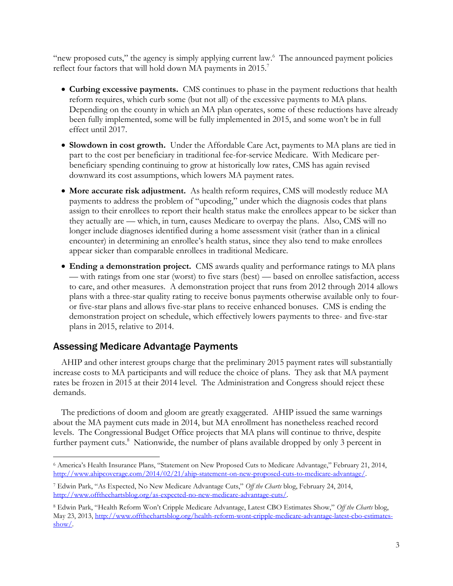"new proposed cuts," the agency is simply applying current law.<sup>6</sup> The announced payment policies reflect four factors that will hold down MA payments in 2015.<sup>7</sup>

- **Curbing excessive payments.** CMS continues to phase in the payment reductions that health reform requires, which curb some (but not all) of the excessive payments to MA plans. Depending on the county in which an MA plan operates, some of these reductions have already been fully implemented, some will be fully implemented in 2015, and some won't be in full effect until 2017.
- **Slowdown in cost growth.** Under the Affordable Care Act, payments to MA plans are tied in part to the cost per beneficiary in traditional fee-for-service Medicare. With Medicare perbeneficiary spending continuing to grow at historically low rates, CMS has again revised downward its cost assumptions, which lowers MA payment rates.
- **More accurate risk adjustment.** As health reform requires, CMS will modestly reduce MA payments to address the problem of "upcoding," under which the diagnosis codes that plans assign to their enrollees to report their health status make the enrollees appear to be sicker than they actually are — which, in turn, causes Medicare to overpay the plans. Also, CMS will no longer include diagnoses identified during a home assessment visit (rather than in a clinical encounter) in determining an enrollee's health status, since they also tend to make enrollees appear sicker than comparable enrollees in traditional Medicare.
- **Ending a demonstration project.** CMS awards quality and performance ratings to MA plans — with ratings from one star (worst) to five stars (best) — based on enrollee satisfaction, access to care, and other measures. A demonstration project that runs from 2012 through 2014 allows plans with a three-star quality rating to receive bonus payments otherwise available only to fouror five-star plans and allows five-star plans to receive enhanced bonuses. CMS is ending the demonstration project on schedule, which effectively lowers payments to three- and five-star plans in 2015, relative to 2014.

#### Assessing Medicare Advantage Payments

 $\overline{a}$ 

AHIP and other interest groups charge that the preliminary 2015 payment rates will substantially increase costs to MA participants and will reduce the choice of plans. They ask that MA payment rates be frozen in 2015 at their 2014 level. The Administration and Congress should reject these demands.

The predictions of doom and gloom are greatly exaggerated. AHIP issued the same warnings about the MA payment cuts made in 2014, but MA enrollment has nonetheless reached record levels. The Congressional Budget Office projects that MA plans will continue to thrive, despite further payment cuts.<sup>8</sup> Nationwide, the number of plans available dropped by only 3 percent in

<sup>6</sup> America's Health Insurance Plans, "Statement on New Proposed Cuts to Medicare Advantage," February 21, 2014, [http://www.ahipcoverage.com/2014/02/21/ahip-statement-on-new-proposed-cuts-to-medicare-advantage/.](http://www.ahipcoverage.com/2014/02/21/ahip-statement-on-new-proposed-cuts-to-medicare-advantage/)

<sup>7</sup> Edwin Park, "As Expected, No New Medicare Advantage Cuts," *Off the Charts* blog, February 24, 2014, [http://www.offthechartsblog.org/as-expected-no-new-medicare-advantage-cuts/.](http://www.offthechartsblog.org/as-expected-no-new-medicare-advantage-cuts/) 

<sup>8</sup> Edwin Park, "Health Reform Won't Cripple Medicare Advantage, Latest CBO Estimates Show," *Off the Charts* blog, May 23, 2013, [http://www.offthechartsblog.org/health-reform-wont-cripple-medicare-advantage-latest-cbo-estimates](http://www.offthechartsblog.org/health-reform-wont-cripple-medicare-advantage-latest-cbo-estimates-show/)[show/.](http://www.offthechartsblog.org/health-reform-wont-cripple-medicare-advantage-latest-cbo-estimates-show/)